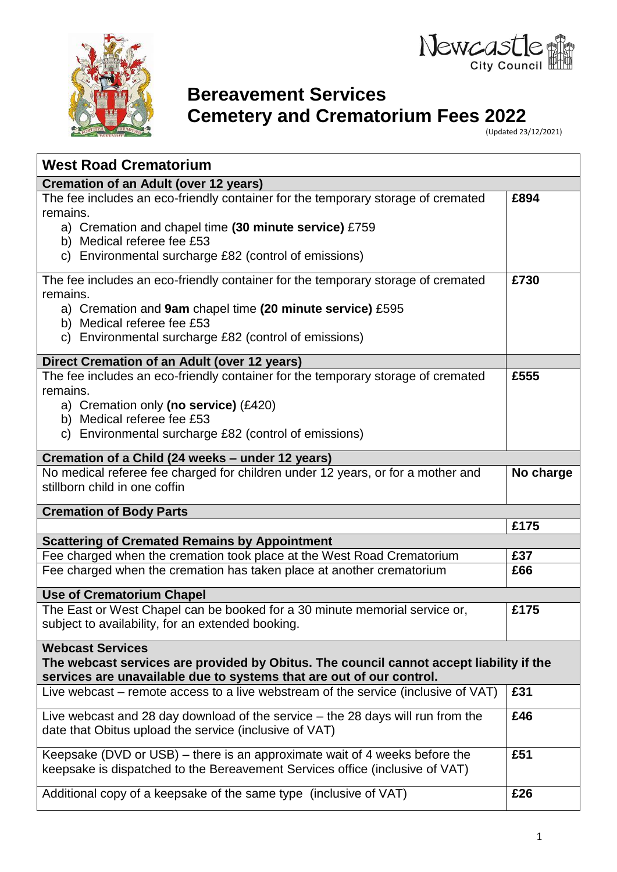



# **Bereavement Services**

**Cemetery and Crematorium Fees 2022**

(Updated 23/12/2021)

| <b>West Road Crematorium</b>                                                                                                                                                               |           |
|--------------------------------------------------------------------------------------------------------------------------------------------------------------------------------------------|-----------|
| <b>Cremation of an Adult (over 12 years)</b>                                                                                                                                               |           |
| The fee includes an eco-friendly container for the temporary storage of cremated<br>remains.                                                                                               | £894      |
| a) Cremation and chapel time (30 minute service) £759<br>b) Medical referee fee £53                                                                                                        |           |
| c) Environmental surcharge £82 (control of emissions)                                                                                                                                      |           |
| The fee includes an eco-friendly container for the temporary storage of cremated<br>remains.                                                                                               | £730      |
| a) Cremation and 9am chapel time (20 minute service) £595<br>b) Medical referee fee £53                                                                                                    |           |
| c) Environmental surcharge £82 (control of emissions)                                                                                                                                      |           |
| Direct Cremation of an Adult (over 12 years)                                                                                                                                               |           |
| The fee includes an eco-friendly container for the temporary storage of cremated<br>remains.                                                                                               | £555      |
| a) Cremation only (no service) $(E420)$<br>b) Medical referee fee £53                                                                                                                      |           |
| c) Environmental surcharge £82 (control of emissions)                                                                                                                                      |           |
| Cremation of a Child (24 weeks - under 12 years)                                                                                                                                           |           |
| No medical referee fee charged for children under 12 years, or for a mother and<br>stillborn child in one coffin                                                                           | No charge |
| <b>Cremation of Body Parts</b>                                                                                                                                                             |           |
|                                                                                                                                                                                            | £175      |
| <b>Scattering of Cremated Remains by Appointment</b>                                                                                                                                       |           |
| Fee charged when the cremation took place at the West Road Crematorium                                                                                                                     | £37       |
| Fee charged when the cremation has taken place at another crematorium                                                                                                                      | £66       |
| <b>Use of Crematorium Chapel</b>                                                                                                                                                           |           |
| The East or West Chapel can be booked for a 30 minute memorial service or,<br>subject to availability, for an extended booking.                                                            | £175      |
| <b>Webcast Services</b><br>The webcast services are provided by Obitus. The council cannot accept liability if the<br>services are unavailable due to systems that are out of our control. |           |
| Live webcast – remote access to a live webstream of the service (inclusive of VAT)                                                                                                         | £31       |
| Live webcast and 28 day download of the service $-$ the 28 days will run from the<br>date that Obitus upload the service (inclusive of VAT)                                                | £46       |
| Keepsake (DVD or USB) – there is an approximate wait of 4 weeks before the<br>keepsake is dispatched to the Bereavement Services office (inclusive of VAT)                                 | £51       |
| Additional copy of a keepsake of the same type (inclusive of VAT)                                                                                                                          | £26       |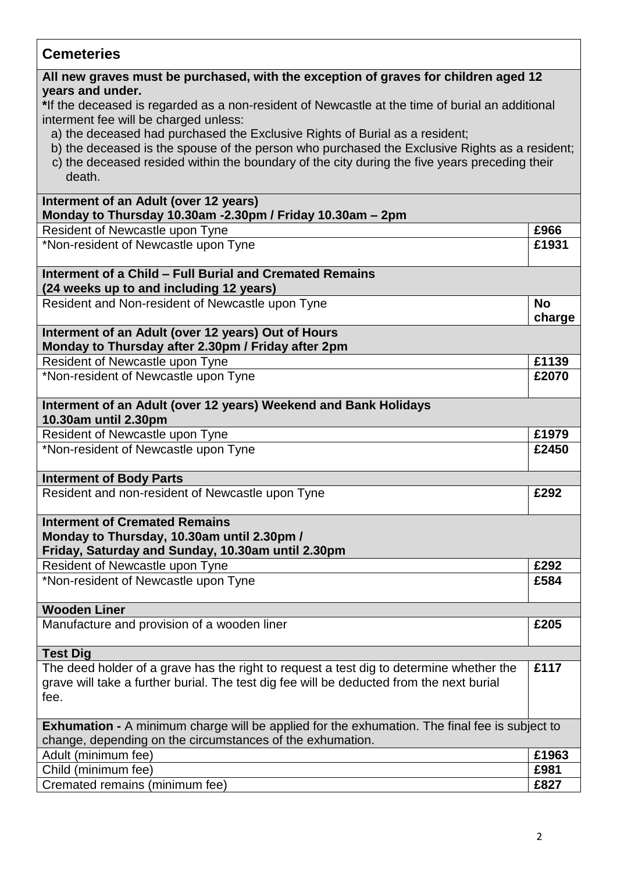| <b>Cemeteries</b>                                                                                                                                                                                          |                     |  |
|------------------------------------------------------------------------------------------------------------------------------------------------------------------------------------------------------------|---------------------|--|
| All new graves must be purchased, with the exception of graves for children aged 12<br>years and under.<br>*If the deceased is regarded as a non-resident of Newcastle at the time of burial an additional |                     |  |
| interment fee will be charged unless:                                                                                                                                                                      |                     |  |
| a) the deceased had purchased the Exclusive Rights of Burial as a resident;<br>b) the deceased is the spouse of the person who purchased the Exclusive Rights as a resident;                               |                     |  |
| c) the deceased resided within the boundary of the city during the five years preceding their<br>death.                                                                                                    |                     |  |
| Interment of an Adult (over 12 years)                                                                                                                                                                      |                     |  |
| Monday to Thursday 10.30am -2.30pm / Friday 10.30am - 2pm                                                                                                                                                  | £966                |  |
| Resident of Newcastle upon Tyne<br>*Non-resident of Newcastle upon Tyne                                                                                                                                    | £1931               |  |
|                                                                                                                                                                                                            |                     |  |
| Interment of a Child - Full Burial and Cremated Remains<br>(24 weeks up to and including 12 years)                                                                                                         |                     |  |
| Resident and Non-resident of Newcastle upon Tyne                                                                                                                                                           | <b>No</b><br>charge |  |
| Interment of an Adult (over 12 years) Out of Hours<br>Monday to Thursday after 2.30pm / Friday after 2pm                                                                                                   |                     |  |
| Resident of Newcastle upon Tyne                                                                                                                                                                            | £1139               |  |
| *Non-resident of Newcastle upon Tyne                                                                                                                                                                       | £2070               |  |
| Interment of an Adult (over 12 years) Weekend and Bank Holidays<br>10.30am until 2.30pm                                                                                                                    |                     |  |
| Resident of Newcastle upon Tyne                                                                                                                                                                            | £1979               |  |
| *Non-resident of Newcastle upon Tyne                                                                                                                                                                       | £2450               |  |
| <b>Interment of Body Parts</b>                                                                                                                                                                             |                     |  |
| Resident and non-resident of Newcastle upon Tyne                                                                                                                                                           | £292                |  |
| <b>Interment of Cremated Remains</b><br>Monday to Thursday, 10.30am until 2.30pm /<br>Friday, Saturday and Sunday, 10.30am until 2.30pm                                                                    |                     |  |
| Resident of Newcastle upon Tyne                                                                                                                                                                            | £292                |  |
| *Non-resident of Newcastle upon Tyne                                                                                                                                                                       | £584                |  |
| <b>Wooden Liner</b>                                                                                                                                                                                        |                     |  |
| Manufacture and provision of a wooden liner                                                                                                                                                                | £205                |  |
| <b>Test Dig</b>                                                                                                                                                                                            |                     |  |
| The deed holder of a grave has the right to request a test dig to determine whether the                                                                                                                    | £117                |  |
| grave will take a further burial. The test dig fee will be deducted from the next burial<br>fee.                                                                                                           |                     |  |
| <b>Exhumation -</b> A minimum charge will be applied for the exhumation. The final fee is subject to<br>change, depending on the circumstances of the exhumation.                                          |                     |  |
| Adult (minimum fee)                                                                                                                                                                                        | £1963               |  |
| Child (minimum fee)                                                                                                                                                                                        | £981                |  |
| Cremated remains (minimum fee)                                                                                                                                                                             | £827                |  |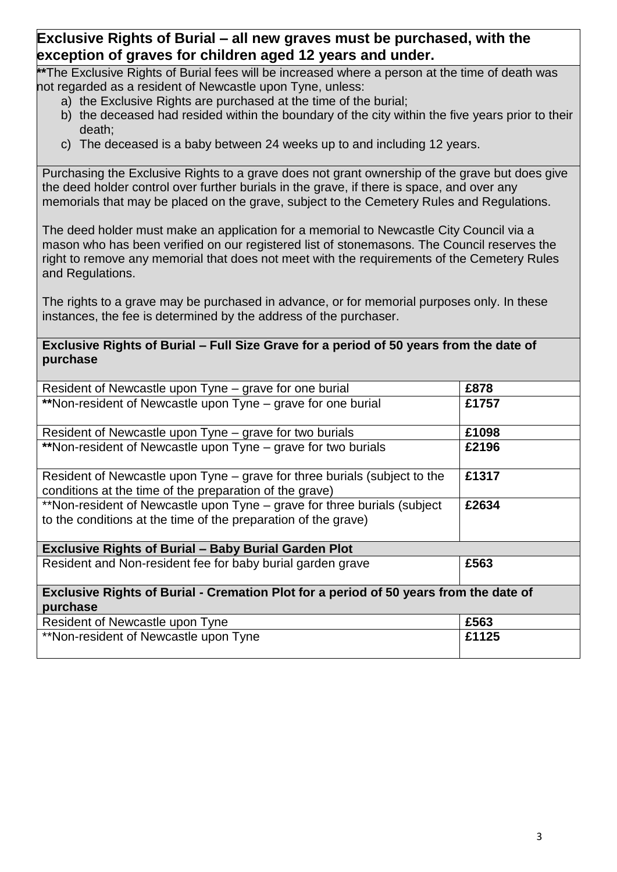## **Exclusive Rights of Burial – all new graves must be purchased, with the exception of graves for children aged 12 years and under.**

**\*\***The Exclusive Rights of Burial fees will be increased where a person at the time of death was not regarded as a resident of Newcastle upon Tyne, unless:

- a) the Exclusive Rights are purchased at the time of the burial;
- b) the deceased had resided within the boundary of the city within the five years prior to their death;
- c) The deceased is a baby between 24 weeks up to and including 12 years.

Purchasing the Exclusive Rights to a grave does not grant ownership of the grave but does give the deed holder control over further burials in the grave, if there is space, and over any memorials that may be placed on the grave, subject to the Cemetery Rules and Regulations.

The deed holder must make an application for a memorial to Newcastle City Council via a mason who has been verified on our registered list of stonemasons. The Council reserves the right to remove any memorial that does not meet with the requirements of the Cemetery Rules and Regulations.

The rights to a grave may be purchased in advance, or for memorial purposes only. In these instances, the fee is determined by the address of the purchaser.

#### **Exclusive Rights of Burial – Full Size Grave for a period of 50 years from the date of purchase**

| Resident of Newcastle upon Tyne – grave for one burial                                                                                     | £878  |  |
|--------------------------------------------------------------------------------------------------------------------------------------------|-------|--|
| **Non-resident of Newcastle upon Tyne - grave for one burial                                                                               | £1757 |  |
| Resident of Newcastle upon Tyne – grave for two burials                                                                                    | £1098 |  |
| **Non-resident of Newcastle upon Tyne – grave for two burials                                                                              | £2196 |  |
| Resident of Newcastle upon Tyne – grave for three burials (subject to the<br>conditions at the time of the preparation of the grave)       | £1317 |  |
| **Non-resident of Newcastle upon Tyne – grave for three burials (subject<br>to the conditions at the time of the preparation of the grave) | £2634 |  |
| <b>Exclusive Rights of Burial - Baby Burial Garden Plot</b>                                                                                |       |  |
| Resident and Non-resident fee for baby burial garden grave                                                                                 | £563  |  |
| Exclusive Rights of Burial - Cremation Plot for a period of 50 years from the date of                                                      |       |  |
| purchase                                                                                                                                   |       |  |
| Resident of Newcastle upon Tyne                                                                                                            | £563  |  |
| **Non-resident of Newcastle upon Tyne                                                                                                      | £1125 |  |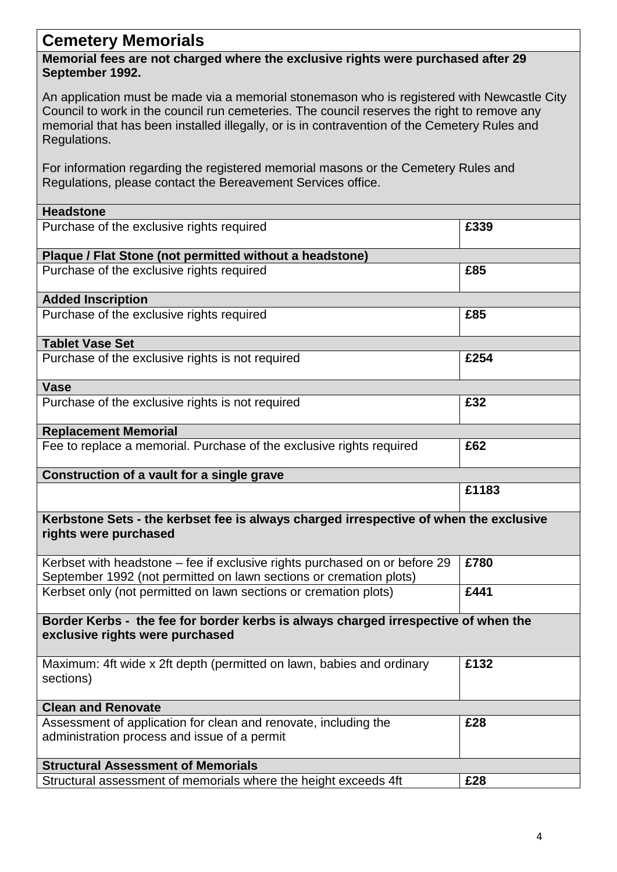## **Cemetery Memorials**

### **Memorial fees are not charged where the exclusive rights were purchased after 29 September 1992.**

An application must be made via a memorial stonemason who is registered with Newcastle City Council to work in the council run cemeteries. The council reserves the right to remove any memorial that has been installed illegally, or is in contravention of the Cemetery Rules and Regulations.

For information regarding the registered memorial masons or the Cemetery Rules and Regulations, please contact the Bereavement Services office.

| <b>Headstone</b>                                                                                                                                 |       |
|--------------------------------------------------------------------------------------------------------------------------------------------------|-------|
| Purchase of the exclusive rights required                                                                                                        | £339  |
| Plaque / Flat Stone (not permitted without a headstone)                                                                                          |       |
| Purchase of the exclusive rights required                                                                                                        | £85   |
| <b>Added Inscription</b>                                                                                                                         |       |
| Purchase of the exclusive rights required                                                                                                        | £85   |
| <b>Tablet Vase Set</b>                                                                                                                           |       |
| Purchase of the exclusive rights is not required                                                                                                 | £254  |
| <b>Vase</b>                                                                                                                                      |       |
| Purchase of the exclusive rights is not required                                                                                                 | £32   |
| <b>Replacement Memorial</b>                                                                                                                      |       |
| Fee to replace a memorial. Purchase of the exclusive rights required                                                                             | £62   |
| Construction of a vault for a single grave                                                                                                       |       |
|                                                                                                                                                  | £1183 |
| Kerbstone Sets - the kerbset fee is always charged irrespective of when the exclusive<br>rights were purchased                                   |       |
| Kerbset with headstone - fee if exclusive rights purchased on or before 29<br>September 1992 (not permitted on lawn sections or cremation plots) | £780  |
| Kerbset only (not permitted on lawn sections or cremation plots)                                                                                 | £441  |
| Border Kerbs - the fee for border kerbs is always charged irrespective of when the<br>exclusive rights were purchased                            |       |
| Maximum: 4ft wide x 2ft depth (permitted on lawn, babies and ordinary<br>sections)                                                               | £132  |
| <b>Clean and Renovate</b>                                                                                                                        |       |
| Assessment of application for clean and renovate, including the<br>administration process and issue of a permit                                  | £28   |
| <b>Structural Assessment of Memorials</b>                                                                                                        |       |
| Structural assessment of memorials where the height exceeds 4ft                                                                                  | £28   |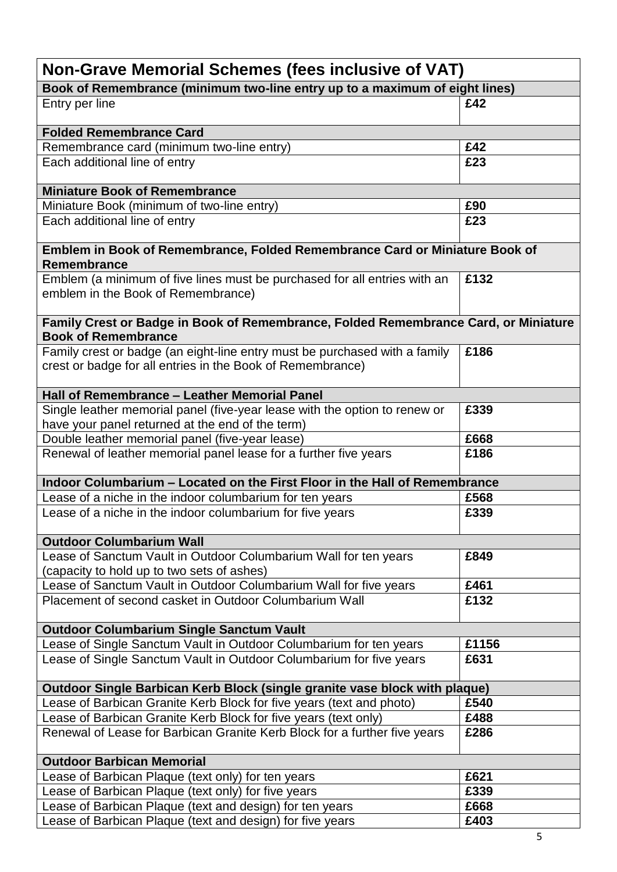| <b>Non-Grave Memorial Schemes (fees inclusive of VAT)</b>                                                         |       |  |
|-------------------------------------------------------------------------------------------------------------------|-------|--|
| Book of Remembrance (minimum two-line entry up to a maximum of eight lines)                                       |       |  |
| Entry per line                                                                                                    | £42   |  |
| <b>Folded Remembrance Card</b>                                                                                    |       |  |
| Remembrance card (minimum two-line entry)                                                                         | £42   |  |
| Each additional line of entry                                                                                     | £23   |  |
| <b>Miniature Book of Remembrance</b>                                                                              |       |  |
| Miniature Book (minimum of two-line entry)                                                                        | £90   |  |
| Each additional line of entry                                                                                     | £23   |  |
| Emblem in Book of Remembrance, Folded Remembrance Card or Miniature Book of<br>Remembrance                        |       |  |
| Emblem (a minimum of five lines must be purchased for all entries with an                                         | £132  |  |
| emblem in the Book of Remembrance)                                                                                |       |  |
| Family Crest or Badge in Book of Remembrance, Folded Remembrance Card, or Miniature<br><b>Book of Remembrance</b> |       |  |
| Family crest or badge (an eight-line entry must be purchased with a family                                        | £186  |  |
| crest or badge for all entries in the Book of Remembrance)                                                        |       |  |
| Hall of Remembrance - Leather Memorial Panel                                                                      |       |  |
| Single leather memorial panel (five-year lease with the option to renew or                                        | £339  |  |
| have your panel returned at the end of the term)                                                                  |       |  |
| Double leather memorial panel (five-year lease)                                                                   | £668  |  |
| Renewal of leather memorial panel lease for a further five years                                                  | £186  |  |
| Indoor Columbarium - Located on the First Floor in the Hall of Remembrance                                        |       |  |
| Lease of a niche in the indoor columbarium for ten years                                                          | £568  |  |
| Lease of a niche in the indoor columbarium for five years                                                         | £339  |  |
| <b>Outdoor Columbarium Wall</b>                                                                                   |       |  |
| Lease of Sanctum Vault in Outdoor Columbarium Wall for ten years                                                  | £849  |  |
| (capacity to hold up to two sets of ashes)                                                                        |       |  |
| Lease of Sanctum Vault in Outdoor Columbarium Wall for five years                                                 | £461  |  |
| Placement of second casket in Outdoor Columbarium Wall                                                            | £132  |  |
| <b>Outdoor Columbarium Single Sanctum Vault</b>                                                                   |       |  |
| Lease of Single Sanctum Vault in Outdoor Columbarium for ten years                                                | £1156 |  |
| Lease of Single Sanctum Vault in Outdoor Columbarium for five years                                               | £631  |  |
| Outdoor Single Barbican Kerb Block (single granite vase block with plaque)                                        |       |  |
| Lease of Barbican Granite Kerb Block for five years (text and photo)                                              | £540  |  |
| Lease of Barbican Granite Kerb Block for five years (text only)                                                   | £488  |  |
| Renewal of Lease for Barbican Granite Kerb Block for a further five years                                         | £286  |  |
| <b>Outdoor Barbican Memorial</b>                                                                                  |       |  |
| Lease of Barbican Plaque (text only) for ten years                                                                | £621  |  |
| Lease of Barbican Plaque (text only) for five years                                                               | £339  |  |
| Lease of Barbican Plaque (text and design) for ten years                                                          | £668  |  |
| Lease of Barbican Plaque (text and design) for five years                                                         | £403  |  |